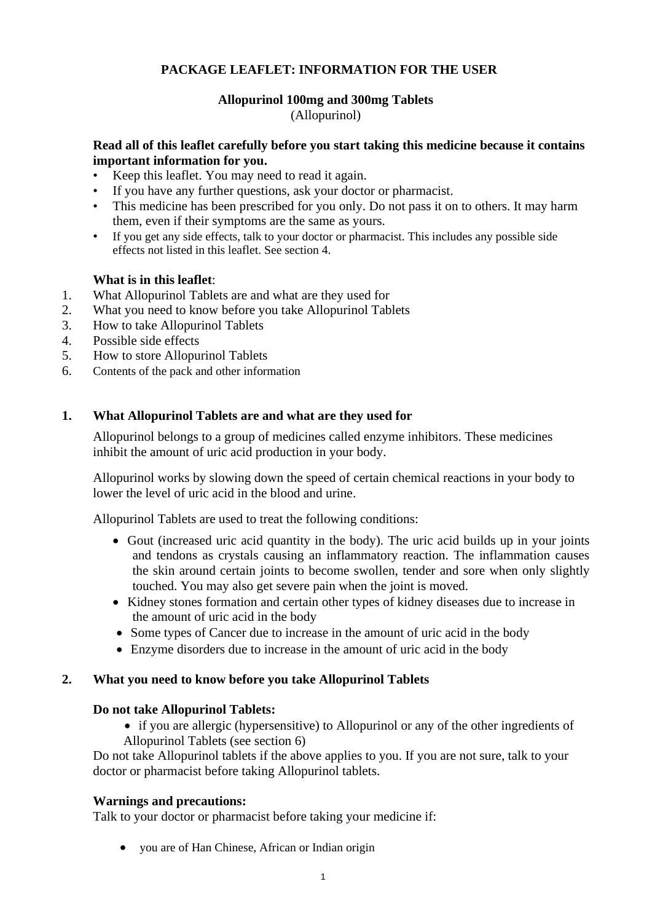# **PACKAGE LEAFLET: INFORMATION FOR THE USER**

# **Allopurinol 100mg and 300mg Tablets** (Allopurinol)

# **Read all of this leaflet carefully before you start taking this medicine because it contains important information for you.**

- Keep this leaflet. You may need to read it again.
- If you have any further questions, ask your doctor or pharmacist.
- This medicine has been prescribed for you only. Do not pass it on to others. It may harm them, even if their symptoms are the same as yours.
- If you get any side effects, talk to your doctor or pharmacist. This includes any possible side effects not listed in this leaflet. See section 4.

# **What is in this leaflet**:

- 1. What Allopurinol Tablets are and what are they used for
- 2. What you need to know before you take Allopurinol Tablets
- 3. How to take Allopurinol Tablets
- 4. Possible side effects
- 5. How to store Allopurinol Tablets
- 6. Contents of the pack and other information

### **1. What Allopurinol Tablets are and what are they used for**

Allopurinol belongs to a group of medicines called enzyme inhibitors. These medicines inhibit the amount of uric acid production in your body.

Allopurinol works by slowing down the speed of certain chemical reactions in your body to lower the level of uric acid in the blood and urine.

Allopurinol Tablets are used to treat the following conditions:

- Gout (increased uric acid quantity in the body). The uric acid builds up in your joints and tendons as crystals causing an inflammatory reaction. The inflammation causes the skin around certain joints to become swollen, tender and sore when only slightly touched. You may also get severe pain when the joint is moved.
- Kidney stones formation and certain other types of kidney diseases due to increase in the amount of uric acid in the body
- Some types of Cancer due to increase in the amount of uric acid in the body
- Enzyme disorders due to increase in the amount of uric acid in the body

### **2. What you need to know before you take Allopurinol Tablets**

### **Do not take Allopurinol Tablets:**

• if you are allergic (hypersensitive) to Allopurinol or any of the other ingredients of Allopurinol Tablets (see section 6)

Do not take Allopurinol tablets if the above applies to you. If you are not sure, talk to your doctor or pharmacist before taking Allopurinol tablets.

### **Warnings and precautions:**

Talk to your doctor or pharmacist before taking your medicine if:

• you are of Han Chinese, African or Indian origin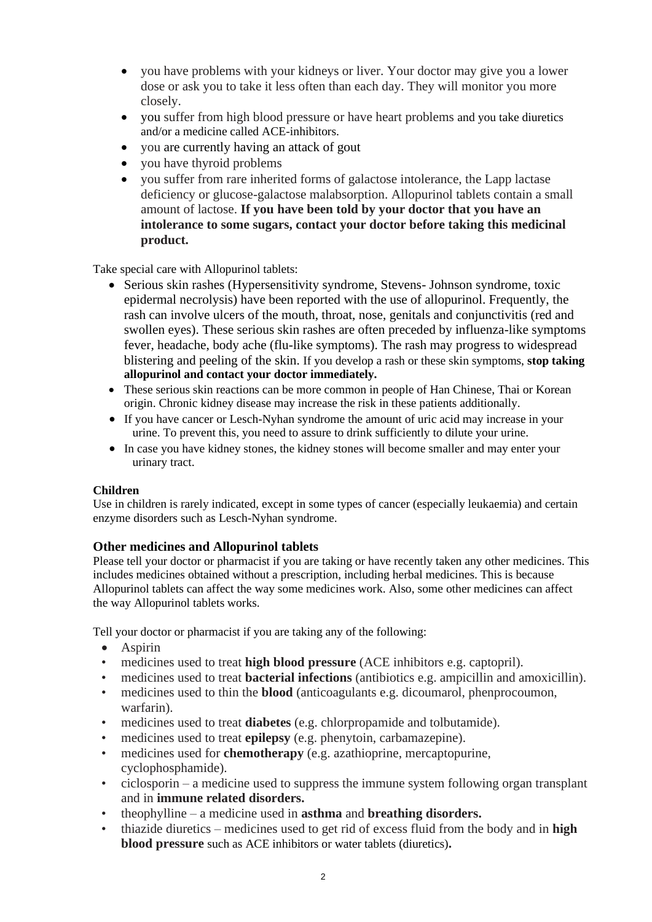- you have problems with your kidneys or liver. Your doctor may give you a lower dose or ask you to take it less often than each day. They will monitor you more closely.
- you suffer from high blood pressure or have heart problems and you take diuretics and/or a medicine called ACE-inhibitors.
- you are currently having an attack of gout
- you have thyroid problems
- you suffer from rare inherited forms of galactose intolerance, the Lapp lactase deficiency or glucose-galactose malabsorption. Allopurinol tablets contain a small amount of lactose. **If you have been told by your doctor that you have an intolerance to some sugars, contact your doctor before taking this medicinal product.**

Take special care with Allopurinol tablets:

- Serious skin rashes (Hypersensitivity syndrome, Stevens- Johnson syndrome, toxic epidermal necrolysis) have been reported with the use of allopurinol. Frequently, the rash can involve ulcers of the mouth, throat, nose, genitals and conjunctivitis (red and swollen eyes). These serious skin rashes are often preceded by influenza-like symptoms fever, headache, body ache (flu-like symptoms). The rash may progress to widespread blistering and peeling of the skin. If you develop a rash or these skin symptoms, **stop taking allopurinol and contact your doctor immediately.**
- These serious skin reactions can be more common in people of Han Chinese, Thai or Korean origin. Chronic kidney disease may increase the risk in these patients additionally.
- If you have cancer or Lesch-Nyhan syndrome the amount of uric acid may increase in your urine. To prevent this, you need to assure to drink sufficiently to dilute your urine.
- In case you have kidney stones, the kidney stones will become smaller and may enter your urinary tract.

### **Children**

Use in children is rarely indicated, except in some types of cancer (especially leukaemia) and certain enzyme disorders such as Lesch-Nyhan syndrome.

### **Other medicines and Allopurinol tablets**

Please tell your doctor or pharmacist if you are taking or have recently taken any other medicines. This includes medicines obtained without a prescription, including herbal medicines. This is because Allopurinol tablets can affect the way some medicines work. Also, some other medicines can affect the way Allopurinol tablets works.

Tell your doctor or pharmacist if you are taking any of the following:

- Aspirin
- medicines used to treat **high blood pressure** (ACE inhibitors e.g. captopril).
- medicines used to treat **bacterial infections** (antibiotics e.g. ampicillin and amoxicillin).
- medicines used to thin the **blood** (anticoagulants e.g. dicoumarol, phenprocoumon, warfarin).
- medicines used to treat **diabetes** (e.g. chlorpropamide and tolbutamide).
- medicines used to treat **epilepsy** (e.g. phenytoin, carbamazepine).
- medicines used for **chemotherapy** (e.g. azathioprine, mercaptopurine, cyclophosphamide).
- ciclosporin a medicine used to suppress the immune system following organ transplant and in **immune related disorders.**
- theophylline a medicine used in **asthma** and **breathing disorders.**
- thiazide diuretics medicines used to get rid of excess fluid from the body and in **high blood pressure** such as ACE inhibitors or water tablets (diuretics)**.**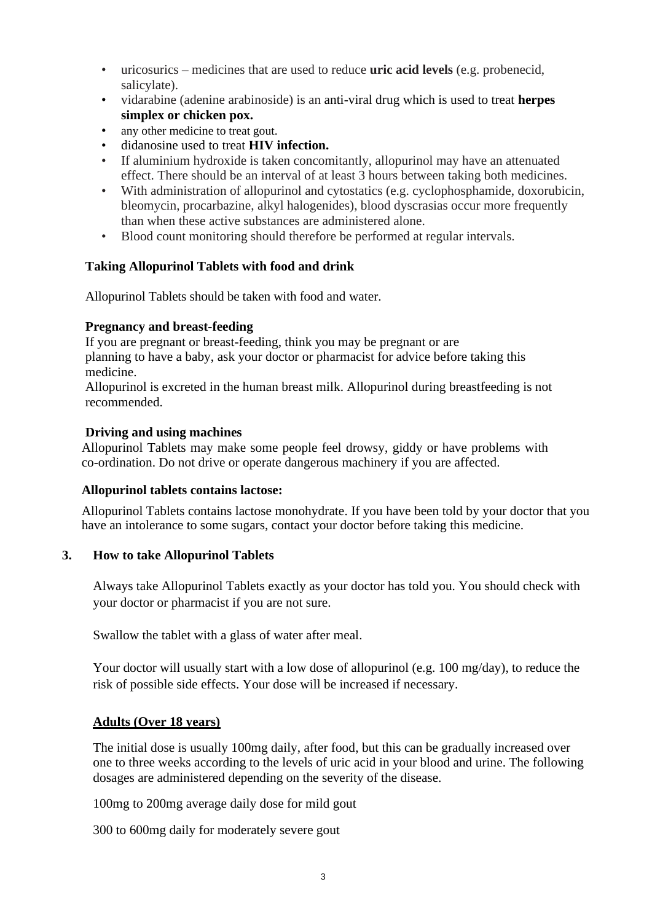- uricosurics medicines that are used to reduce **uric acid levels** (e.g. probenecid, salicylate).
- vidarabine (adenine arabinoside) is an anti-viral drug which is used to treat **herpes simplex or chicken pox.**
- any other medicine to treat gout.
- didanosine used to treat **HIV infection.**
- If aluminium hydroxide is taken concomitantly, allopurinol may have an attenuated effect. There should be an interval of at least 3 hours between taking both medicines.
- With administration of allopurinol and cytostatics (e.g. cyclophosphamide, doxorubicin, bleomycin, procarbazine, alkyl halogenides), blood dyscrasias occur more frequently than when these active substances are administered alone.
- Blood count monitoring should therefore be performed at regular intervals.

# **Taking Allopurinol Tablets with food and drink**

Allopurinol Tablets should be taken with food and water.

# **Pregnancy and breast-feeding**

If you are pregnant or breast-feeding, think you may be pregnant or are planning to have a baby, ask your doctor or pharmacist for advice before taking this medicine.

Allopurinol is excreted in the human breast milk. Allopurinol during breastfeeding is not recommended.

# **Driving and using machines**

Allopurinol Tablets may make some people feel drowsy, giddy or have problems with co-ordination. Do not drive or operate dangerous machinery if you are affected.

### **Allopurinol tablets contains lactose:**

Allopurinol Tablets contains lactose monohydrate. If you have been told by your doctor that you have an intolerance to some sugars, contact your doctor before taking this medicine.

### **3. How to take Allopurinol Tablets**

Always take Allopurinol Tablets exactly as your doctor has told you. You should check with your doctor or pharmacist if you are not sure.

Swallow the tablet with a glass of water after meal.

Your doctor will usually start with a low dose of allopurinol (e.g. 100 mg/day), to reduce the risk of possible side effects. Your dose will be increased if necessary.

# **Adults (Over 18 years)**

The initial dose is usually 100mg daily, after food, but this can be gradually increased over one to three weeks according to the levels of uric acid in your blood and urine. The following dosages are administered depending on the severity of the disease.

100mg to 200mg average daily dose for mild gout

300 to 600mg daily for moderately severe gout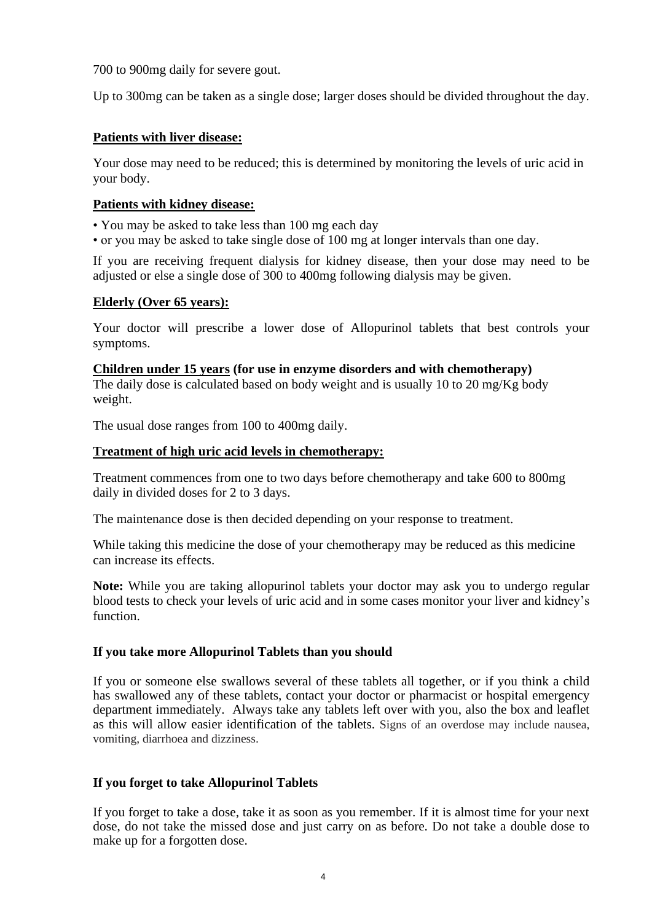700 to 900mg daily for severe gout.

Up to 300mg can be taken as a single dose; larger doses should be divided throughout the day.

# **Patients with liver disease:**

Your dose may need to be reduced; this is determined by monitoring the levels of uric acid in your body.

# **Patients with kidney disease:**

• You may be asked to take less than 100 mg each day

• or you may be asked to take single dose of 100 mg at longer intervals than one day.

If you are receiving frequent dialysis for kidney disease, then your dose may need to be adjusted or else a single dose of 300 to 400mg following dialysis may be given.

# **Elderly (Over 65 years):**

Your doctor will prescribe a lower dose of Allopurinol tablets that best controls your symptoms.

**Children under 15 years (for use in enzyme disorders and with chemotherapy)**  The daily dose is calculated based on body weight and is usually 10 to 20 mg/Kg body weight.

The usual dose ranges from 100 to 400mg daily.

### **Treatment of high uric acid levels in chemotherapy:**

Treatment commences from one to two days before chemotherapy and take 600 to 800mg daily in divided doses for 2 to 3 days.

The maintenance dose is then decided depending on your response to treatment.

While taking this medicine the dose of your chemotherapy may be reduced as this medicine can increase its effects.

**Note:** While you are taking allopurinol tablets your doctor may ask you to undergo regular blood tests to check your levels of uric acid and in some cases monitor your liver and kidney's function.

### **If you take more Allopurinol Tablets than you should**

If you or someone else swallows several of these tablets all together, or if you think a child has swallowed any of these tablets, contact your doctor or pharmacist or hospital emergency department immediately. Always take any tablets left over with you, also the box and leaflet as this will allow easier identification of the tablets. Signs of an overdose may include nausea, vomiting, diarrhoea and dizziness.

# **If you forget to take Allopurinol Tablets**

If you forget to take a dose, take it as soon as you remember. If it is almost time for your next dose, do not take the missed dose and just carry on as before. Do not take a double dose to make up for a forgotten dose.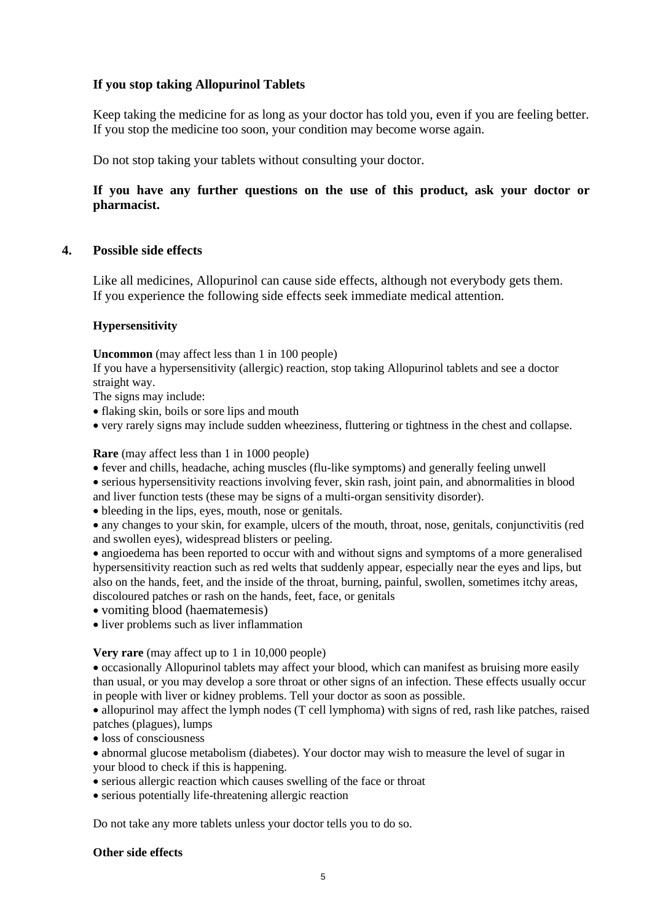# **If you stop taking Allopurinol Tablets**

Keep taking the medicine for as long as your doctor has told you, even if you are feeling better. If you stop the medicine too soon, your condition may become worse again.

Do not stop taking your tablets without consulting your doctor.

# **If you have any further questions on the use of this product, ask your doctor or pharmacist.**

### **4. Possible side effects**

Like all medicines, Allopurinol can cause side effects, although not everybody gets them. If you experience the following side effects seek immediate medical attention.

### **Hypersensitivity**

**Uncommon** (may affect less than 1 in 100 people)

If you have a hypersensitivity (allergic) reaction, stop taking Allopurinol tablets and see a doctor straight way.

The signs may include:

- flaking skin, boils or sore lips and mouth
- very rarely signs may include sudden wheeziness, fluttering or tightness in the chest and collapse.

**Rare** (may affect less than 1 in 1000 people)

• fever and chills, headache, aching muscles (flu-like symptoms) and generally feeling unwell

• serious hypersensitivity reactions involving fever, skin rash, joint pain, and abnormalities in blood

- and liver function tests (these may be signs of a multi-organ sensitivity disorder).
- bleeding in the lips, eyes, mouth, nose or genitals.

• any changes to your skin, for example, ulcers of the mouth, throat, nose, genitals, conjunctivitis (red and swollen eyes), widespread blisters or peeling.

• angioedema has been reported to occur with and without signs and symptoms of a more generalised hypersensitivity reaction such as red welts that suddenly appear, especially near the eyes and lips, but also on the hands, feet, and the inside of the throat, burning, painful, swollen, sometimes itchy areas, discoloured patches or rash on the hands, feet, face, or genitals

• vomiting blood (haematemesis)

• liver problems such as liver inflammation

**Very rare** (may affect up to 1 in 10,000 people)

• occasionally Allopurinol tablets may affect your blood, which can manifest as bruising more easily than usual, or you may develop a sore throat or other signs of an infection. These effects usually occur in people with liver or kidney problems. Tell your doctor as soon as possible.

• allopurinol may affect the lymph nodes (T cell lymphoma) with signs of red, rash like patches, raised patches (plagues), lumps

• loss of consciousness

• abnormal glucose metabolism (diabetes). Your doctor may wish to measure the level of sugar in your blood to check if this is happening.

• serious allergic reaction which causes swelling of the face or throat

• serious potentially life-threatening allergic reaction

Do not take any more tablets unless your doctor tells you to do so.

#### **Other side effects**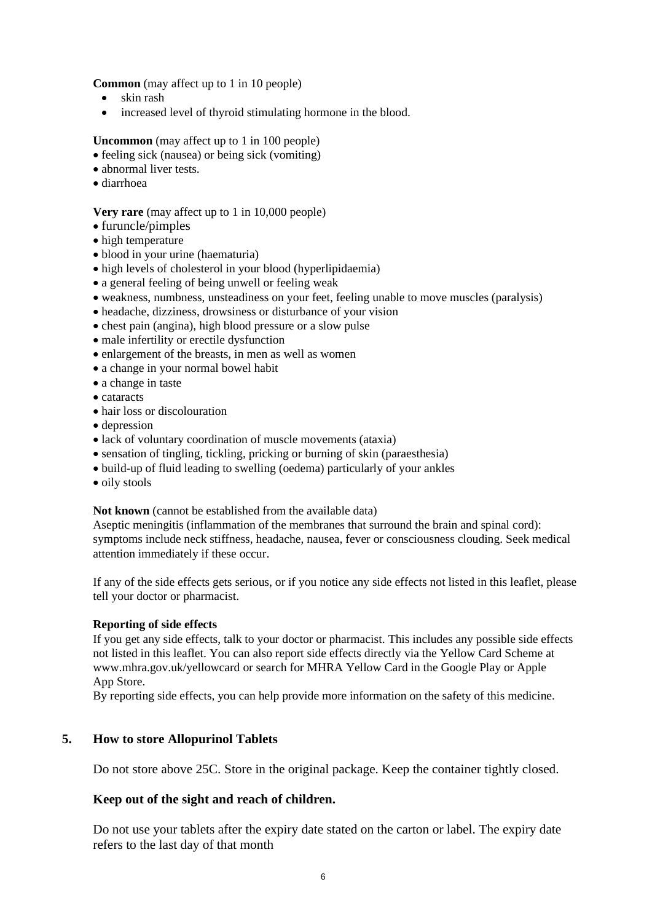**Common** (may affect up to 1 in 10 people)

- skin rash
- increased level of thyroid stimulating hormone in the blood.

**Uncommon** (may affect up to 1 in 100 people)

- feeling sick (nausea) or being sick (vomiting)
- abnormal liver tests.
- diarrhoea

#### **Very rare** (may affect up to 1 in 10,000 people)

- furuncle/pimples
- high temperature
- blood in your urine (haematuria)
- high levels of cholesterol in your blood (hyperlipidaemia)
- a general feeling of being unwell or feeling weak
- weakness, numbness, unsteadiness on your feet, feeling unable to move muscles (paralysis)
- headache, dizziness, drowsiness or disturbance of your vision
- chest pain (angina), high blood pressure or a slow pulse
- male infertility or erectile dysfunction
- enlargement of the breasts, in men as well as women
- a change in your normal bowel habit
- a change in taste
- cataracts
- hair loss or discolouration
- depression
- lack of voluntary coordination of muscle movements (ataxia)
- sensation of tingling, tickling, pricking or burning of skin (paraesthesia)
- build-up of fluid leading to swelling (oedema) particularly of your ankles
- oily stools

#### **Not known** (cannot be established from the available data)

Aseptic meningitis (inflammation of the membranes that surround the brain and spinal cord): symptoms include neck stiffness, headache, nausea, fever or consciousness clouding. Seek medical attention immediately if these occur.

If any of the side effects gets serious, or if you notice any side effects not listed in this leaflet, please tell your doctor or pharmacist.

### **Reporting of side effects**

If you get any side effects, talk to your doctor or pharmacist. This includes any possible side effects not listed in this leaflet. You can also report side effects directly via the Yellow Card Scheme at www.mhra.gov.uk/yellowcard or search for MHRA Yellow Card in the Google Play or Apple App Store.

By reporting side effects, you can help provide more information on the safety of this medicine.

# **5. How to store Allopurinol Tablets**

Do not store above 25C. Store in the original package. Keep the container tightly closed.

### **Keep out of the sight and reach of children.**

Do not use your tablets after the expiry date stated on the carton or label. The expiry date refers to the last day of that month